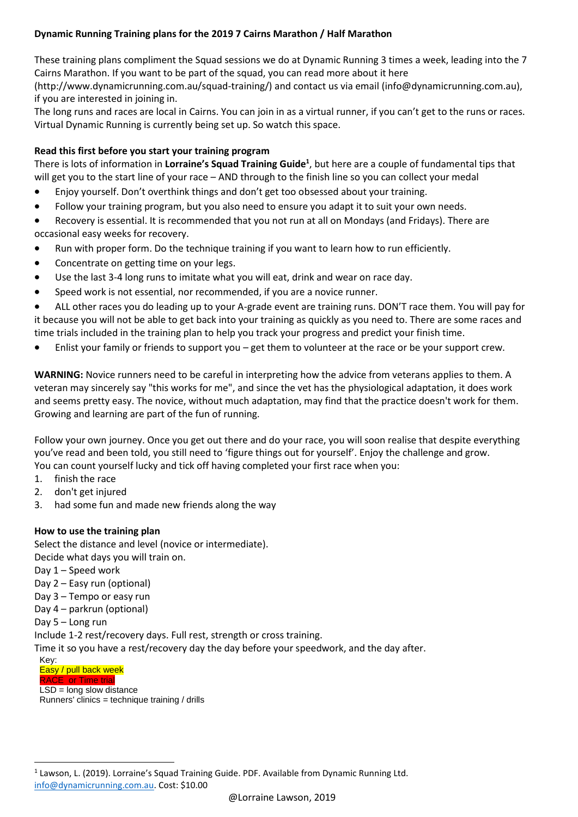### **Dynamic Running Training plans for the 2019 7 Cairns Marathon / Half Marathon**

These training plans compliment the Squad sessions we do at Dynamic Running 3 times a week, leading into the 7 Cairns Marathon. If you want to be part of the squad, you can read more about it here

(http://www.dynamicrunning.com.au/squad-training/) and contact us via email (info@dynamicrunning.com.au), if you are interested in joining in.

The long runs and races are local in Cairns. You can join in as a virtual runner, if you can't get to the runs or races. Virtual Dynamic Running is currently being set up. So watch this space.

### **Read this first before you start your training program**

There is lots of information in **Lorraine's Squad Training Guide<sup>1</sup>** , but here are a couple of fundamental tips that will get you to the start line of your race – AND through to the finish line so you can collect your medal

- Enjoy yourself. Don't overthink things and don't get too obsessed about your training.
- Follow your training program, but you also need to ensure you adapt it to suit your own needs.
- Recovery is essential. It is recommended that you not run at all on Mondays (and Fridays). There are occasional easy weeks for recovery.
- Run with proper form. Do the technique training if you want to learn how to run efficiently.
- Concentrate on getting time on your legs.
- Use the last 3-4 long runs to imitate what you will eat, drink and wear on race day.
- Speed work is not essential, nor recommended, if you are a novice runner.

• ALL other races you do leading up to your A-grade event are training runs. DON'T race them. You will pay for it because you will not be able to get back into your training as quickly as you need to. There are some races and time trials included in the training plan to help you track your progress and predict your finish time.

Enlist your family or friends to support you – get them to volunteer at the race or be your support crew.

**WARNING:** Novice runners need to be careful in interpreting how the advice from veterans applies to them. A veteran may sincerely say "this works for me", and since the vet has the physiological adaptation, it does work and seems pretty easy. The novice, without much adaptation, may find that the practice doesn't work for them. Growing and learning are part of the fun of running.

Follow your own journey. Once you get out there and do your race, you will soon realise that despite everything you've read and been told, you still need to 'figure things out for yourself'. Enjoy the challenge and grow. You can count yourself lucky and tick off having completed your first race when you:

- 1. finish the race
- 2. don't get injured
- 3. had some fun and made new friends along the way

### **How to use the training plan**

Select the distance and level (novice or intermediate).

Decide what days you will train on.

- Day 1 Speed work
- Day 2 Easy run (optional)
- Day 3 Tempo or easy run
- Day 4 parkrun (optional)
- Day 5 Long run

Include 1-2 rest/recovery days. Full rest, strength or cross training.

Time it so you have a rest/recovery day the day before your speedwork, and the day after.

Key: Easy / pull back week

 $\overline{\phantom{a}}$ 

## **RACE** or Time trial

 $LSD = long$  slow distance Runners' clinics = technique training  $/$  drills

<sup>&</sup>lt;sup>1</sup> Lawson, L. (2019). Lorraine's Squad Training Guide. PDF. Available from Dynamic Running Ltd. [info@dynamicrunning.com.au.](mailto:info@dynamicrunning.com.au) Cost: \$10.00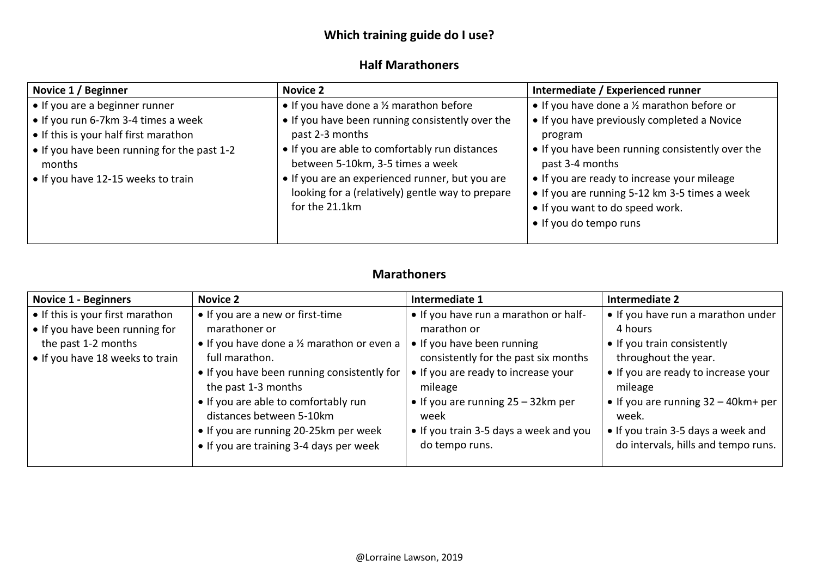# **Which training guide do I use?**

## **Half Marathoners**

| Novice 1 / Beginner                                                                                                                   | <b>Novice 2</b>                                                                                                                                           | Intermediate / Experienced runner                                                                                                                         |
|---------------------------------------------------------------------------------------------------------------------------------------|-----------------------------------------------------------------------------------------------------------------------------------------------------------|-----------------------------------------------------------------------------------------------------------------------------------------------------------|
| • If you are a beginner runner                                                                                                        | • If you have done a $\frac{1}{2}$ marathon before                                                                                                        | • If you have done a 1/2 marathon before or                                                                                                               |
| • If you run 6-7km 3-4 times a week<br>• If this is your half first marathon<br>• If you have been running for the past 1-2<br>months | • If you have been running consistently over the<br>past 2-3 months<br>• If you are able to comfortably run distances<br>between 5-10km, 3-5 times a week | • If you have previously completed a Novice<br>program<br>• If you have been running consistently over the<br>past 3-4 months                             |
| • If you have 12-15 weeks to train                                                                                                    | • If you are an experienced runner, but you are<br>looking for a (relatively) gentle way to prepare<br>for the 21.1km                                     | • If you are ready to increase your mileage<br>• If you are running 5-12 km 3-5 times a week<br>• If you want to do speed work.<br>• If you do tempo runs |

# **Marathoners**

| <b>Novice 1 - Beginners</b>      | <b>Novice 2</b>                             | Intermediate 1                         | Intermediate 2                         |
|----------------------------------|---------------------------------------------|----------------------------------------|----------------------------------------|
| • If this is your first marathon | • If you are a new or first-time            | • If you have run a marathon or half-  | • If you have run a marathon under     |
| • If you have been running for   | marathoner or                               | marathon or                            | 4 hours                                |
| the past 1-2 months              | • If you have done a 1/2 marathon or even a | • If you have been running             | • If you train consistently            |
| • If you have 18 weeks to train  | full marathon.                              | consistently for the past six months   | throughout the year.                   |
|                                  | • If you have been running consistently for | • If you are ready to increase your    | • If you are ready to increase your    |
|                                  | the past 1-3 months                         | mileage                                | mileage                                |
|                                  | • If you are able to comfortably run        | • If you are running $25 - 32km$ per   | • If you are running $32 - 40$ km+ per |
|                                  | distances between 5-10km                    | week                                   | week.                                  |
|                                  | • If you are running 20-25km per week       | • If you train 3-5 days a week and you | • If you train 3-5 days a week and     |
|                                  | • If you are training 3-4 days per week     | do tempo runs.                         | do intervals, hills and tempo runs.    |
|                                  |                                             |                                        |                                        |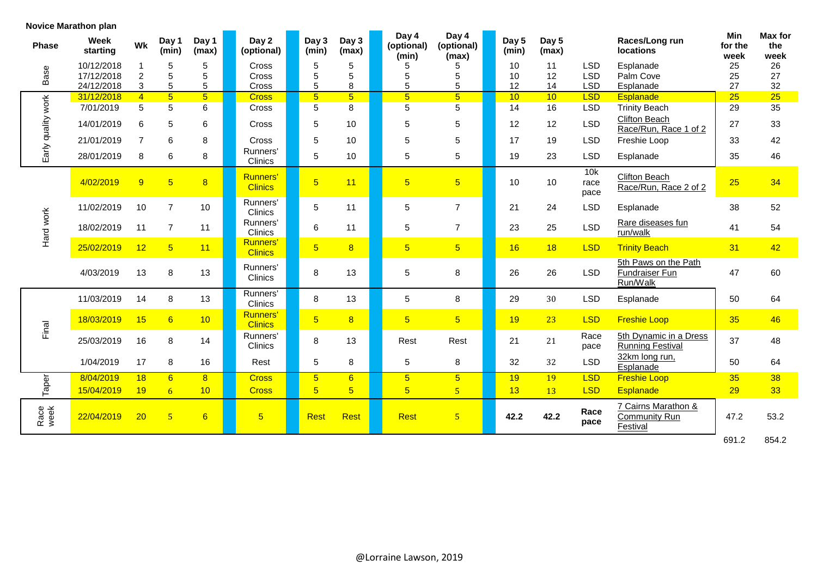|  | <b>Novice Marathon plan</b> |  |
|--|-----------------------------|--|
|--|-----------------------------|--|

| <b>Phase</b>       | <b>Week</b><br>starting | Wk             | Day 1<br>(min)  | Day 1<br>(max) | Day 2<br>(optional)               | Day 3<br>(min)  | Day 3<br>(max)  | Day 4<br>(optional)<br>(min) | Day 4<br>(optional)<br>(max) |  | Day 5<br>(min) | Day 5<br>(max)  |                     | Races/Long run<br><b>locations</b>                 | Min<br>for the<br>week | <b>Max for</b><br>the<br>week |
|--------------------|-------------------------|----------------|-----------------|----------------|-----------------------------------|-----------------|-----------------|------------------------------|------------------------------|--|----------------|-----------------|---------------------|----------------------------------------------------|------------------------|-------------------------------|
|                    | 10/12/2018              |                | 5               | 5              | <b>Cross</b>                      | 5               | 5               | 5                            | 5                            |  | 10             | 11              | <b>LSD</b>          | Esplanade                                          | 25                     | 26                            |
| Base               | 17/12/2018              | $\overline{c}$ | 5               | 5              | Cross                             | 5               | 5               | 5                            | 5                            |  | 10             | 12              | <b>LSD</b>          | Palm Cove                                          | 25                     | 27                            |
|                    | 24/12/2018              | 3              | 5               | 5              | Cross                             | 5               | 8               | 5                            | 5                            |  | 12             | 14              | <b>LSD</b>          | Esplanade                                          | 27                     | 32                            |
|                    | 31/12/2018              | $\overline{4}$ | $\overline{5}$  | $\overline{5}$ | <b>Cross</b>                      | $\overline{5}$  | 5 <sub>5</sub>  | $\overline{5}$               | $\overline{5}$               |  | 10             | 10              | <b>LSD</b>          | <b>Esplanade</b>                                   | 25                     | 25                            |
|                    | 7/01/2019               | 5              | 5               | $6\phantom{a}$ | Cross                             | 5               | 8               | 5                            | 5                            |  | 14             | 16              | <b>LSD</b>          | <b>Trinity Beach</b>                               | 29                     | 35                            |
| Early quality work | 14/01/2019              | 6              | 5               | 6              | Cross                             | 5               | 10              | 5                            | 5                            |  | 12             | 12              | <b>LSD</b>          | <b>Clifton Beach</b><br>Race/Run, Race 1 of 2      | 27                     | 33                            |
|                    | 21/01/2019              | $\overline{7}$ | $\,6$           | 8              | Cross                             | 5               | 10              | 5                            | 5                            |  | 17             | 19              | <b>LSD</b>          | Freshie Loop                                       | 33                     | 42                            |
|                    | 28/01/2019              | 8              | $\,6$           | 8              | Runners'<br>Clinics               | 5               | 10              | 5                            | 5                            |  | 19             | 23              | <b>LSD</b>          | Esplanade                                          | 35                     | 46                            |
|                    | 4/02/2019               | 9              | 5 <sup>5</sup>  | 8              | Runners'<br><b>Clinics</b>        | $\overline{5}$  | 11              | $\overline{5}$               | 5 <sub>5</sub>               |  | 10             | 10 <sup>°</sup> | 10k<br>race<br>pace | Clifton Beach<br>Race/Run, Race 2 of 2             | 25                     | 34                            |
|                    | 11/02/2019              | 10             | $\overline{7}$  | 10             | Runners'<br>Clinics               | $\sqrt{5}$      | 11              | 5                            | $\overline{7}$               |  | 21             | 24              | <b>LSD</b>          | Esplanade                                          | 38                     | 52                            |
| Hard work          | 18/02/2019              | 11             | $\overline{7}$  | 11             | Runners'<br>Clinics               | $\,6\,$         | 11              | 5                            | $\overline{7}$               |  | 23             | 25              | <b>LSD</b>          | Rare diseases fun<br>run/walk                      | 41                     | 54                            |
|                    | 25/02/2019              | 12             | 5 <sup>5</sup>  | 11             | <b>Runners'</b><br><b>Clinics</b> | $\overline{5}$  | 8               | $5\overline{)}$              | 5 <sup>1</sup>               |  |                | 18              | <b>LSD</b>          | <b>Trinity Beach</b>                               | 31                     | 42                            |
|                    | 4/03/2019               | 13             | 8               | 13             | Runners'<br>Clinics               | 8               | 13              | 5                            | 8                            |  | 26             | 26              | <b>LSD</b>          | 5th Paws on the Path<br>Fundraiser Fun<br>Run/Walk | 47                     | 60                            |
|                    | 11/03/2019              | 14             | 8               | 13             | Runners'<br>Clinics               | 8               | 13              | 5                            | 8                            |  | 29             | 30              | <b>LSD</b>          | Esplanade                                          | 50                     | 64                            |
| Final              | 18/03/2019              | 15             | 6               | 10             | Runners'<br><b>Clinics</b>        | $\overline{5}$  | 8               | 5 <sup>5</sup>               | 5 <sup>5</sup>               |  |                | 23              | <b>LSD</b>          | <b>Freshie Loop</b>                                | 35                     | 46                            |
|                    | 25/03/2019              | 16             | 8               | 14             | Runners'<br>Clinics               | 8               | 13              | Rest                         | Rest                         |  | 21             | 21              | Race<br>pace        | 5th Dynamic in a Dress<br><b>Running Festival</b>  | 37                     | 48                            |
|                    | 1/04/2019               | 17             | 8               | 16             | Rest                              | 5               | 8               | $\,$ 5 $\,$                  | 8                            |  | 32             | 32              | <b>LSD</b>          | 32km long run,<br>Esplanade                        | 50                     | 64                            |
|                    | 8/04/2019               | 18             | 6               | 8              | <b>Cross</b>                      | $5\overline{)}$ | $6\overline{6}$ | $5\overline{)}$              | 5 <sup>1</sup>               |  | 19             | 19              | <b>LSD</b>          | <b>Freshie Loop</b>                                | 35                     | 38                            |
| Taper              | 15/04/2019              | 19             | $6\overline{6}$ | 10             | <b>Cross</b>                      | $\overline{5}$  | $\overline{5}$  | $\overline{5}$               | $\overline{5}$               |  | 13             | 13              | <b>LSD</b>          | Esplanade                                          | 29                     | 33                            |
| Race<br>week       | 22/04/2019              | 20             | 5 <sub>o</sub>  | 6              | $\overline{5}$                    | <b>Rest</b>     | <b>Rest</b>     | Rest                         | 5 <sub>5</sub>               |  | 42.2           | 42.2            | Race<br>pace        | 7 Cairns Marathon &<br>Community Run<br>Festival   | 47.2                   | 53.2                          |
|                    |                         |                |                 |                |                                   |                 |                 |                              |                              |  |                |                 |                     |                                                    | 691.2                  | 854.2                         |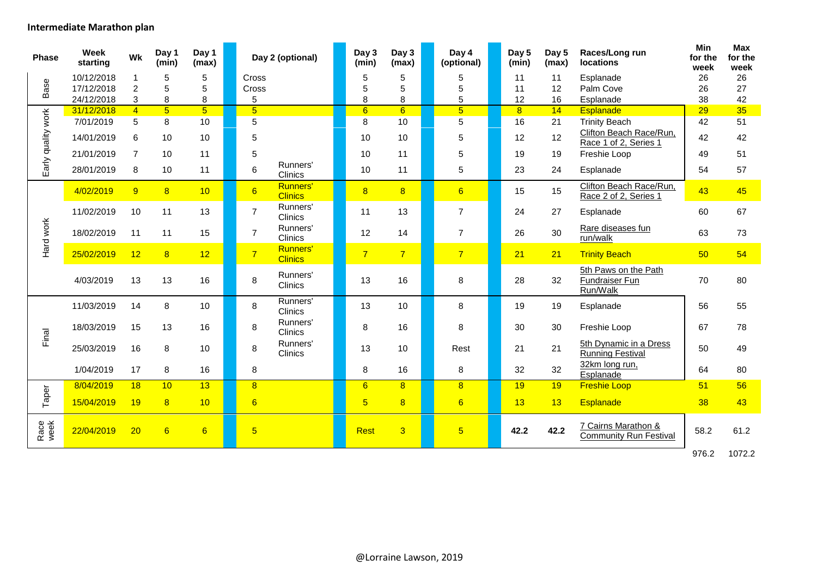#### **Intermediate Marathon plan**

| <b>Phase</b>       | <b>Week</b><br>starting | Wk             | Day 1<br>(min)  | Day 1<br>(max)  |                 | Day 2 (optional)           | Day 3<br>(min) | Day 3<br>(max)          | Day 4<br>(optional) | Day 5<br>(min) | Day 5<br>(max) | Races/Long run<br><b>locations</b>                   | Min<br>for the<br>week | Max<br>for the<br>week |
|--------------------|-------------------------|----------------|-----------------|-----------------|-----------------|----------------------------|----------------|-------------------------|---------------------|----------------|----------------|------------------------------------------------------|------------------------|------------------------|
|                    | 10/12/2018              | 1              | 5               | 5               | Cross           |                            | 5              | 5                       | 5                   | 11             | 11             | Esplanade                                            | 26                     | 26                     |
| Base               | 17/12/2018              | $\overline{c}$ | 5               | 5               | Cross           |                            | 5              | 5                       | 5                   | 11             | 12             | Palm Cove                                            | 26                     | 27                     |
|                    | 24/12/2018              | 3              | 8               | 8               | 5               |                            | 8              | 8                       | 5                   | 12             | 16             | Esplanade                                            | 38                     | 42                     |
|                    | 31/12/2018              | $\overline{4}$ | $\overline{5}$  | $\overline{5}$  | $\overline{5}$  |                            | 6              | $\overline{6}$          | $\overline{5}$      | $\overline{8}$ | 14             | <b>Esplanade</b>                                     | 29                     | 35                     |
|                    | 7/01/2019               | 5              | 8               | 10              | 5               |                            | 8              | 10                      | 5                   | 16             | 21             | <b>Trinity Beach</b>                                 | 42                     | 51                     |
| Early quality work | 14/01/2019              | 6              | 10              | 10              | 5               |                            | 10             | 10                      | 5                   | 12             | 12             | Clifton Beach Race/Run,<br>Race 1 of 2, Series 1     | 42                     | 42                     |
|                    | 21/01/2019              | $\overline{7}$ | 10              | 11              | 5               |                            | 10             | 11                      | 5                   | 19             | 19             | Freshie Loop                                         | 49                     | 51                     |
|                    | 28/01/2019              | 8              | 10              | 11              | 6               | Runners'<br>Clinics        | 10             | 11                      | 5                   | 23             | 24             | Esplanade                                            | 54                     | 57                     |
|                    | 4/02/2019               | 9              | 8               | 10              | $6\overline{6}$ | Runners'<br><b>Clinics</b> | $\overline{8}$ | $\overline{\mathbf{8}}$ | $6\overline{6}$     | 15             | 15             | Clifton Beach Race/Run,<br>Race 2 of 2, Series 1     | 43                     | 45                     |
|                    | 11/02/2019              | 10             | 11              | 13              | $\overline{7}$  | Runners'<br>Clinics        | 11             | 13                      | $\overline{7}$      | 24             | 27             | Esplanade                                            | 60                     | 67                     |
| Hard work          | 18/02/2019              | 11             | 11              | 15              | $\overline{7}$  | Runners'<br>Clinics        | 12             | 14                      | $\overline{7}$      | 26             | 30             | Rare diseases fun<br>run/walk                        | 63                     | 73                     |
|                    | 25/02/2019              | 12             | 8               | 12              | $\overline{7}$  | Runners'<br><b>Clinics</b> | $\overline{7}$ | $\overline{7}$          | $\overline{7}$      | 21             | 21             | <b>Trinity Beach</b>                                 | 50                     | 54                     |
|                    | 4/03/2019               | 13             | 13              | 16              | 8               | Runners'<br>Clinics        | 13             | 16                      | 8                   | 28             | 32             | 5th Paws on the Path<br>Fundraiser Fun<br>Run/Walk   | 70                     | 80                     |
|                    | 11/03/2019              | 14             | 8               | 10              | 8               | Runners'<br><b>Clinics</b> | 13             | 10                      | 8                   | 19             | 19             | Esplanade                                            | 56                     | 55                     |
| Final              | 18/03/2019              | 15             | 13              | 16              | 8               | Runners'<br>Clinics        | 8              | 16                      | 8                   | 30             | 30             | Freshie Loop                                         | 67                     | 78                     |
|                    | 25/03/2019              | 16             | 8               | 10              | 8               | Runners'<br>Clinics        | 13             | 10                      | Rest                | 21             | 21             | 5th Dynamic in a Dress<br><b>Running Festival</b>    | 50                     | 49                     |
|                    | 1/04/2019               | 17             | 8               | 16              | 8               |                            | 8              | 16                      | 8                   | 32             | 32             | 32km long run,<br>Esplanade                          | 64                     | 80                     |
|                    | 8/04/2019               | 18             | 10              | 13              | 8               |                            | 6              | $\overline{8}$          | $\overline{8}$      | 19             | 19             | <b>Freshie Loop</b>                                  | 51                     | 56                     |
| Taper              | 15/04/2019              | 19             | 8               | 10              | $6\overline{6}$ |                            | $5\phantom{1}$ | $\overline{\mathbf{8}}$ | $6\overline{6}$     | 13             | 13             | <b>Esplanade</b>                                     | 38                     | 43                     |
| Race<br>week       | 22/04/2019              | 20             | $6\overline{6}$ | $6\overline{6}$ | $\overline{5}$  |                            | <b>Rest</b>    | 3                       | $\overline{5}$      | 42.2           | 42.2           | 7 Cairns Marathon &<br><b>Community Run Festival</b> | 58.2                   | 61.2                   |
|                    |                         |                |                 |                 |                 |                            |                |                         |                     |                |                |                                                      | 976.2                  | 1072.2                 |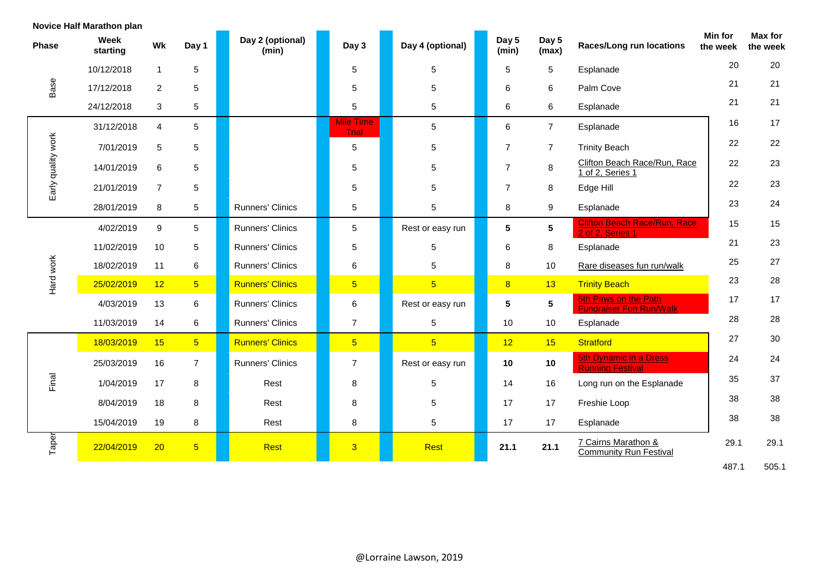|                    | Novice Half Marathon plan |                 |                |                           |                                  |                  |                |                 |                                                          |                     |                     |
|--------------------|---------------------------|-----------------|----------------|---------------------------|----------------------------------|------------------|----------------|-----------------|----------------------------------------------------------|---------------------|---------------------|
| <b>Phase</b>       | <b>Week</b><br>starting   | Wk              | Day 1          | Day 2 (optional)<br>(min) | Day 3                            | Day 4 (optional) | Day 5<br>(min) | Day 5<br>(max)  | <b>Races/Long run locations</b>                          | Min for<br>the week | Max for<br>the week |
|                    | 10/12/2018                | $\mathbf{1}$    | 5              |                           | 5                                | 5                | 5              | 5               | Esplanade                                                | 20                  | 20                  |
| Base               | 17/12/2018                | $\overline{2}$  | 5              |                           | 5                                | 5                | 6              | 6               | Palm Cove                                                | 21                  | 21                  |
|                    | 24/12/2018                | 3               | 5              |                           | $\,$ 5 $\,$                      | 5                | 6              | 6               | Esplanade                                                | 21                  | 21                  |
|                    | 31/12/2018                | 4               | 5              |                           | <b>Mile Time</b><br><b>Trial</b> | 5                | 6              | $\overline{7}$  | Esplanade                                                | 16                  | 17                  |
|                    | 7/01/2019                 | 5               | 5              |                           | $5\phantom{.0}$                  | 5                | $\overline{7}$ | $\overline{7}$  | <b>Trinity Beach</b>                                     | 22                  | 22                  |
| Early quality work | 14/01/2019                | 6               | 5              |                           | 5                                | 5                | $\overline{7}$ | 8               | Clifton Beach Race/Run, Race<br>1 of 2, Series 1         | 22                  | 23                  |
|                    | 21/01/2019                | $\overline{7}$  | 5              |                           | $\,$ 5 $\,$                      | 5                | $\overline{7}$ | 8               | Edge Hill                                                | 22                  | 23                  |
|                    | 28/01/2019                | 8               | 5              | Runners' Clinics          | 5                                | 5                | 8              | 9               | Esplanade                                                | 23                  | 24                  |
|                    | 4/02/2019                 | 9               | 5              | <b>Runners' Clinics</b>   | 5                                | Rest or easy run | 5              | 5               | <b>Clifton Beach Race/Run, Race</b><br>2 of 2, Series 1  | 15                  | 15                  |
|                    | 11/02/2019                | 10              | 5              | <b>Runners' Clinics</b>   | $\,$ 5 $\,$                      | 5                | 6              | 8               | Esplanade                                                | 21                  | 23                  |
|                    | 18/02/2019                | 11              | 6              | Runners' Clinics          | 6                                | 5                | 8              | 10              | Rare diseases fun run/walk                               | 25                  | 27                  |
| Hard work          | 25/02/2019                | 12              | 5 <sup>5</sup> | <b>Runners' Clinics</b>   | $5\overline{)}$                  | 5 <sup>5</sup>   | $\overline{8}$ | 13              | <b>Trinity Beach</b>                                     | 23                  | 28                  |
|                    | 4/03/2019                 | 13              | $\,6\,$        | <b>Runners' Clinics</b>   | 6                                | Rest or easy run | 5              | $5\phantom{.0}$ | 5th Paws on the Path<br><b>Fundraiser Fun Run/Walk</b>   | 17                  | 17                  |
|                    | 11/03/2019                | 14              | 6              | <b>Runners' Clinics</b>   | $\overline{7}$                   | 5                | 10             | 10              | Esplanade                                                | 28                  | 28                  |
|                    | 18/03/2019                | 15              | 5 <sup>1</sup> | <b>Runners' Clinics</b>   | 5 <sup>5</sup>                   | $\overline{5}$   | 12             | 15              | <b>Stratford</b>                                         | 27                  | 30                  |
|                    | 25/03/2019                | 16              | $\overline{7}$ | <b>Runners' Clinics</b>   | $\overline{7}$                   | Rest or easy run | 10             | 10              | <b>5th Dynamic in a Dress</b><br><b>Running Festival</b> | 24                  | 24                  |
| Final              | 1/04/2019                 | 17              | 8              | Rest                      | 8                                | 5                | 14             | 16              | Long run on the Esplanade                                | 35                  | 37                  |
|                    | 8/04/2019                 | 18              | 8              | Rest                      | 8                                | 5                | 17             | 17              | Freshie Loop                                             | 38                  | 38                  |
|                    | 15/04/2019                | 19              | 8              | Rest                      | 8                                | 5                | 17             | 17              | Esplanade                                                | 38                  | 38                  |
| Taper              | 22/04/2019                | 20 <sub>2</sub> | $\overline{5}$ | <b>Rest</b>               | $\overline{3}$                   | <b>Rest</b>      | 21.1           | 21.1            | 7 Cairns Marathon &<br><b>Community Run Festival</b>     | 29.1                | 29.1                |
|                    |                           |                 |                |                           |                                  |                  |                |                 |                                                          | 487.1               | 505.1               |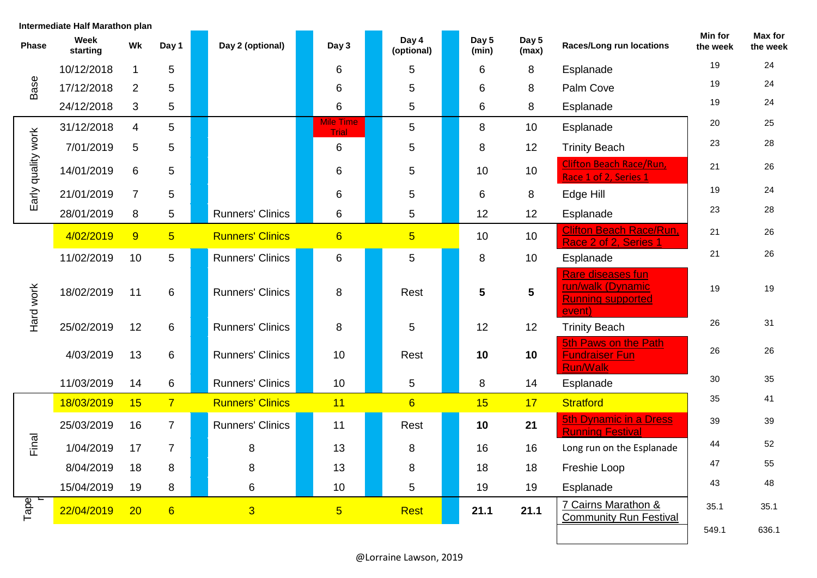| Intermediate Half Marathon plan |                  |                |                |                         |                                  |  |                     |  |                |                         |                                                                              |                     |                     |
|---------------------------------|------------------|----------------|----------------|-------------------------|----------------------------------|--|---------------------|--|----------------|-------------------------|------------------------------------------------------------------------------|---------------------|---------------------|
| <b>Phase</b>                    | Week<br>starting | Wk             | Day 1          | Day 2 (optional)        | Day 3                            |  | Day 4<br>(optional) |  | Day 5<br>(min) | Day 5<br>(max)          | <b>Races/Long run locations</b>                                              | Min for<br>the week | Max for<br>the week |
|                                 | 10/12/2018       | 1              | 5              |                         | 6                                |  | 5                   |  | 6              | 8                       | Esplanade                                                                    | 19                  | 24                  |
| Base                            | 17/12/2018       | $\overline{2}$ | 5              |                         | 6                                |  | 5                   |  | 6              | 8                       | Palm Cove                                                                    | 19                  | 24                  |
|                                 | 24/12/2018       | 3              | 5              |                         | 6                                |  | 5                   |  | 6              | 8                       | Esplanade                                                                    | 19                  | 24                  |
|                                 | 31/12/2018       | 4              | 5              |                         | <b>Mile Time</b><br><b>Trial</b> |  | 5                   |  | 8              | 10                      | Esplanade                                                                    | 20                  | 25                  |
|                                 | 7/01/2019        | 5              | 5              |                         | 6                                |  | 5                   |  | 8              | 12                      | <b>Trinity Beach</b>                                                         | 23                  | 28                  |
| Early quality work              | 14/01/2019       | 6              | 5              |                         | 6                                |  | 5                   |  | 10             | 10                      | <b>Clifton Beach Race/Run,</b><br>Race 1 of 2, Series 1                      | 21                  | 26                  |
|                                 | 21/01/2019       | $\overline{7}$ | 5              |                         | 6                                |  | 5                   |  | 6              | 8                       | Edge Hill                                                                    | 19                  | 24                  |
|                                 | 28/01/2019       | 8              | 5              | <b>Runners' Clinics</b> | 6                                |  | 5                   |  | 12             | 12                      | Esplanade                                                                    | 23                  | 28                  |
| Hard work                       | 4/02/2019        | 9              | 5 <sup>5</sup> | <b>Runners' Clinics</b> | $6\overline{6}$                  |  | $5\overline{)}$     |  | 10             | 10                      | <b>Clifton Beach Race/Run,</b><br>Race 2 of 2, Series 1                      | 21                  | 26                  |
|                                 | 11/02/2019       | 10             | 5              | <b>Runners' Clinics</b> | $\,6\,$                          |  | 5                   |  | 8              | 10                      | Esplanade                                                                    | 21                  | 26                  |
|                                 | 18/02/2019       | 11             | 6              | <b>Runners' Clinics</b> | 8                                |  | Rest                |  | 5              | $\overline{\mathbf{5}}$ | Rare diseases fun<br>run/walk (Dynamic<br><b>Running supported</b><br>event) | 19                  | 19                  |
|                                 | 25/02/2019       | 12             | 6              | <b>Runners' Clinics</b> | 8                                |  | 5                   |  | 12             | 12                      | <b>Trinity Beach</b>                                                         | 26                  | 31                  |
|                                 | 4/03/2019        | 13             | 6              | <b>Runners' Clinics</b> | 10                               |  | Rest                |  | 10             | 10                      | 5th Paws on the Path<br><b>Fundraiser Fun</b><br><b>Run/Walk</b>             | 26                  | 26                  |
|                                 | 11/03/2019       | 14             | 6              | <b>Runners' Clinics</b> | 10                               |  | 5                   |  | 8              | 14                      | Esplanade                                                                    | 30                  | 35                  |
|                                 | 18/03/2019       | 15             | 7 <sup>7</sup> | <b>Runners' Clinics</b> | 11                               |  | $6\overline{6}$     |  | 15             | 17                      | <b>Stratford</b>                                                             | 35                  | 41                  |
|                                 | 25/03/2019       | 16             | $\overline{7}$ | <b>Runners' Clinics</b> | 11                               |  | Rest                |  | 10             | 21                      | <b>5th Dynamic in a Dress</b><br><b>Running Festival</b>                     | 39                  | 39                  |
| Final                           | 1/04/2019        | 17             | $\overline{7}$ | 8                       | 13                               |  | 8                   |  | 16             | 16                      | Long run on the Esplanade                                                    | 44                  | 52                  |
|                                 | 8/04/2019        | 18             | 8              | 8                       | 13                               |  | $\,8\,$             |  | 18             | 18                      | Freshie Loop                                                                 | 47                  | 55                  |
|                                 | 15/04/2019       | 19             | 8              | 6                       | 10 <sup>°</sup>                  |  | 5                   |  | 19             | 19                      | Esplanade                                                                    | 43                  | 48                  |
| Tape<br>r                       | 22/04/2019       | 20             | 6              | $\overline{3}$          | 5 <sub>5</sub>                   |  | <b>Rest</b>         |  | 21.1           | 21.1                    | 7 Cairns Marathon &<br><b>Community Run Festival</b>                         | 35.1                | 35.1                |
|                                 |                  |                |                |                         |                                  |  |                     |  |                |                         |                                                                              | 549.1               | 636.1               |